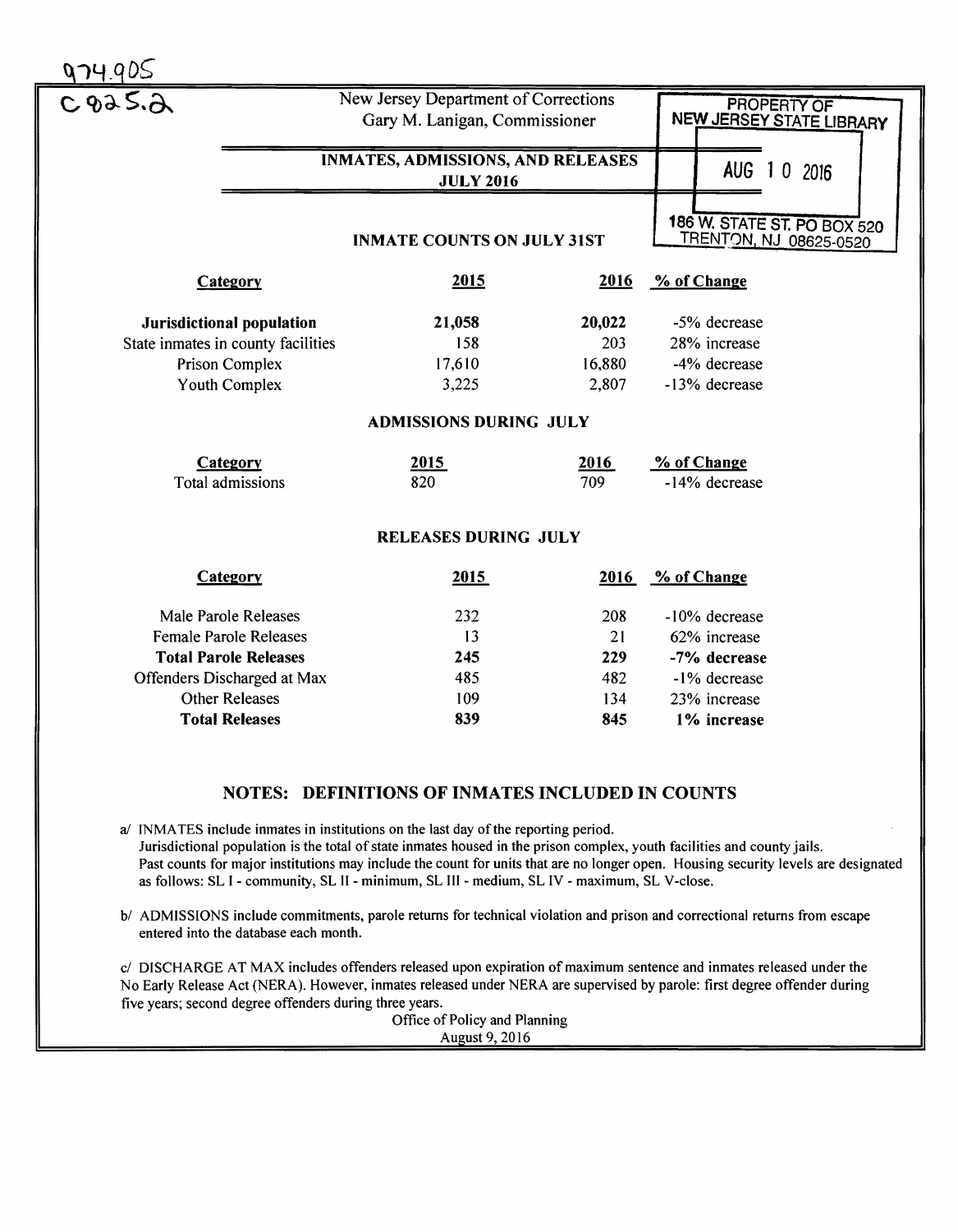| 3.36                               | New Jersey Department of Corrections                         |                          | <b>PROPERTY OF</b>                                           |
|------------------------------------|--------------------------------------------------------------|--------------------------|--------------------------------------------------------------|
|                                    | Gary M. Lanigan, Commissioner                                | NEW JERSEY STATE LIBRARY |                                                              |
|                                    | <b>INMATES, ADMISSIONS, AND RELEASES</b><br><b>JULY 2016</b> | AUG 1 0 2016             |                                                              |
|                                    | <b>INMATE COUNTS ON JULY 31ST</b>                            |                          | 186 W. STATE ST. PO BOX 520<br><b>TRENTON, NJ 08625-0520</b> |
| <b>Category</b>                    | 2015                                                         | 2016                     | % of Change                                                  |
| <b>Jurisdictional population</b>   | 21,058                                                       | 20,022                   | -5% decrease                                                 |
| State inmates in county facilities | 158                                                          | 203                      | 28% increase                                                 |
| Prison Complex                     | 17,610                                                       | 16,880                   | -4% decrease                                                 |
| Youth Complex                      | 3,225                                                        | 2,807                    | -13% decrease                                                |
|                                    | <b>ADMISSIONS DURING JULY</b>                                |                          |                                                              |
| Category                           | 2015                                                         | 2016                     | % of Change                                                  |
| Total admissions                   | 820                                                          | 709                      | -14% decrease                                                |
|                                    | <b>RELEASES DURING JULY</b>                                  |                          |                                                              |
| Category                           | 2015                                                         | 2016                     | % of Change                                                  |
| Male Parole Releases               | 232                                                          | 208                      | -10% decrease                                                |
| <b>Female Parole Releases</b>      | 13                                                           | 21                       | 62% increase                                                 |
| <b>Total Parole Releases</b>       | 245                                                          | 229                      | -7% decrease                                                 |
| Offenders Discharged at Max        | 485                                                          | 482                      | -1% decrease                                                 |
| <b>Other Releases</b>              | 109                                                          | 134                      | 23% increase                                                 |
| <b>Total Releases</b>              | 839                                                          | 845                      | 1% increase                                                  |

## NOTES: DEFINITIONS OF INMATES INCLUDED IN COUNTS

a/ INMATES include inmates in institutions on the last day of the reporting period. Jurisdictional population is the total of state inmates housed in the prison complex, youth facilities and county jails. Past counts for major institutions may include the count for units that are no longer open. Housing security levels are designated as follows: SL I - community, SL II - minimum, SL III - medium, SL IV - maximum, SL V-close.

b/ ADMISSIONS include commitments, parole returns for technical violation and prison and correctional returns from escape entered into the database each month.

c/ DISCHARGE AT MAX includes offenders released upon expiration of maximum sentence and inmates released under the No Early Release Act (NERA). However, inmates released under NERA are supervised by parole: first degree offender during five years; second degree offenders during three years.

Office of Policy and Planning August 9,2016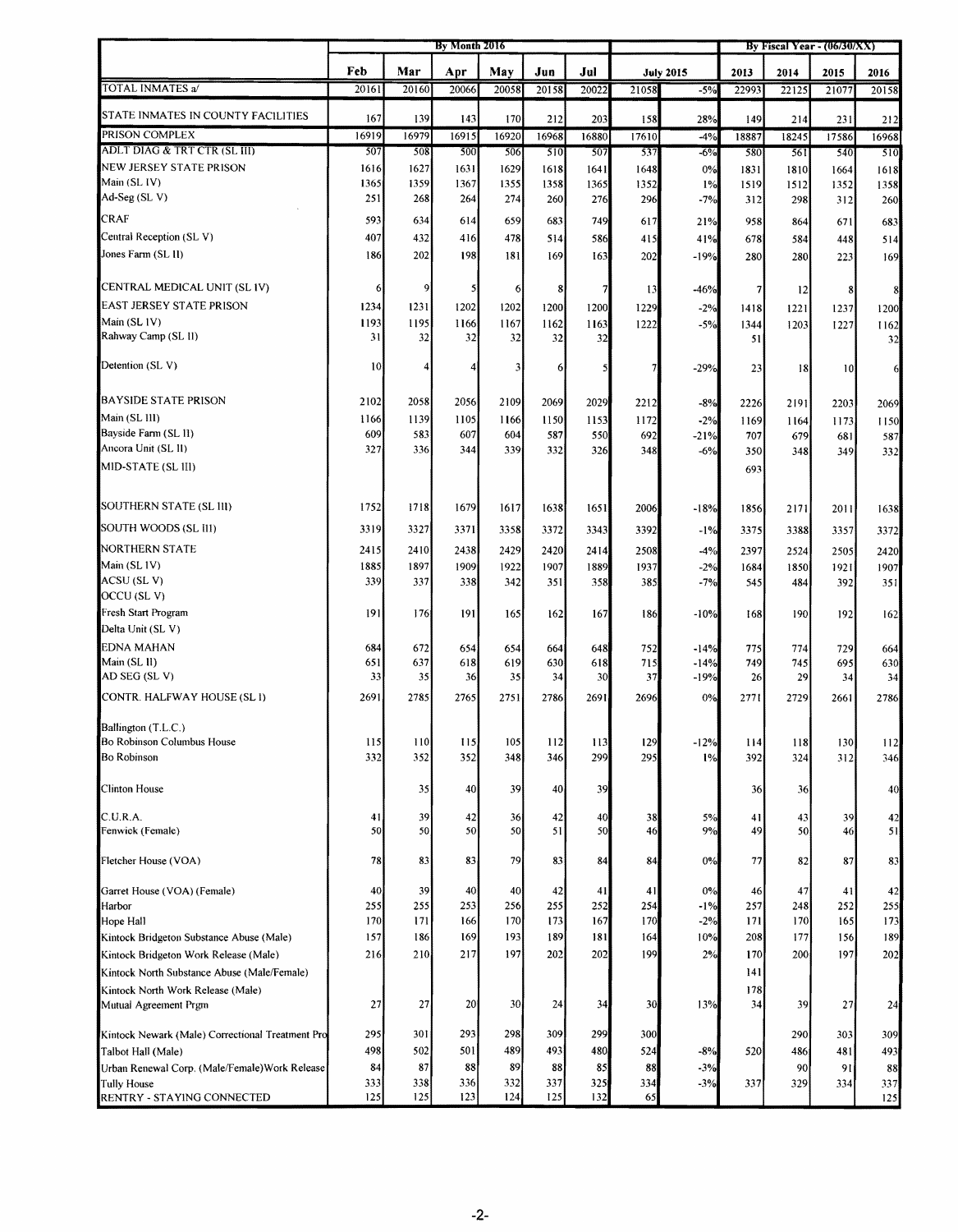| Feb<br>Mar<br>May<br>Apr<br>Jun<br>Jul<br>2013<br>2014<br>2015<br>2016<br><b>July 2015</b><br><b>TOTAL INMATES a/</b><br>20161<br>20158<br>$-5%$<br>20160<br>20066<br>20058<br>20022<br>21058<br>22993<br>22125<br>20158<br>21077<br>STATE INMATES IN COUNTY FACILITIES<br>167<br>139<br>143<br>170<br>203<br>149<br>212<br>158<br>28%<br>214<br>231<br>212<br>PRISON COMPLEX<br>16919<br>16979<br>16915<br>16920<br>16968<br>16880<br>17610<br>18887<br>18245<br>16968<br>$-4%$<br>17586<br>ADLT DIAG & TRT CTR (SL III)<br>507<br>508<br>500<br>506<br>510<br>507<br>537<br>$-6%$<br>580<br>561<br>540<br>510<br>NEW JERSEY STATE PRISON<br>1616<br>1627<br>1631<br>1629<br>1618<br>1648<br>1831<br>1641<br>0%<br>1810<br>1664<br>1618<br>1365<br>1359<br>1367<br>1355<br>1358<br>1365<br>1352<br>1%<br>1519<br>1512<br>1352<br>1358<br>251<br>268<br>264<br>274<br>260<br>276<br>296<br>$-7%$<br>312<br>298<br>312<br>260<br><b>CRAF</b><br>593<br>634<br>614<br>659<br>749<br>683<br>617<br>21%<br>958<br>683<br>864<br>671<br>Central Reception (SL V)<br>407<br>432<br>478<br>416<br>514<br>586<br>678<br>415<br>41%<br>584<br>514<br>448<br>Jones Farm (SL II)<br>202<br>198<br>186<br>181<br>169<br>163<br>202<br>$-19%$<br>280<br>280<br>169<br>223<br>9<br>$\overline{7}$<br>6<br>5<br>6<br>8<br>13<br>$-46%$<br>$\overline{7}$<br> 12 <br>8<br>8<br>1234<br>1231<br>1202<br>1202<br>1200<br>1200<br>1229<br>$-2%$<br>1418<br>1221<br>1237<br>1200<br>1193<br>1195<br>1167<br>1166<br>1162<br>1222<br>1163<br>$-5%$<br>1344<br>1203<br>1227<br>1162<br>31<br>32<br>32<br>32<br>32<br>32<br>51<br>32<br>10 <sub>1</sub><br>4<br>4<br>3<br>$-29%$<br>6<br>5<br>23<br> 18 <br> 0 <br>6<br><b>BAYSIDE STATE PRISON</b><br>2102<br>2058<br>2056<br>2109<br>2069<br>2029<br>2212<br>$-8%$<br>2191<br>2226<br>2203<br>2069<br>Main (SL 111)<br>1166<br>1139<br>1105<br>1166<br>1150<br>1153<br>1172<br>$-2%$<br>1169<br>1164<br>1173<br>1150<br>Bayside Farm (SL 11)<br>609<br>583<br>607<br>604<br>587<br>550<br>692<br>$-21%$<br>707<br>679<br>681<br>587<br>Ancora Unit (SL II)<br>327<br>336<br>339<br>344<br>332<br>326<br>348<br>$-6%$<br>350<br>348<br>332<br>349<br>MID-STATE (SL III)<br>693<br>1752<br>1718<br>1679<br>1617<br>1638<br>1651<br>2006<br>$-18%$<br>1856<br>2171<br>2011<br>1638<br>3319<br>3327<br>3371<br>3358<br>3372<br>3392<br>$-1%$<br>3343<br>3375<br>3388<br>3357<br>3372<br>NORTHERN STATE<br>2415<br>2410<br>2429<br>2420<br>2438<br>2414<br>2508<br>$-4%$<br>2397<br>2524<br>2505<br>2420<br>Main (SL1V)<br>1885<br>1897<br>1909<br>1922<br>1907<br>1937<br>1889<br>$-2%$<br>1684<br>1850<br>1921<br>1907<br>ACSU (SLV)<br>339<br>337<br>338<br>342<br>358<br>351<br>385<br>$-7%$<br>545<br>484<br>351<br>392<br>191<br>176<br>191<br>165<br>167<br>$-10%$<br>190<br>192<br>162<br>186<br>168<br>162<br>684<br>672<br>654<br>752<br>654<br>664<br>648<br>$-14%$<br>775<br>774<br>729<br>664<br>651<br>637<br>618<br>619<br>630<br>618<br>715<br>$-14%$<br>749<br>745<br>695<br>630<br>33<br>30<br>37<br>$-19%$<br>35<br>36<br>35<br>34<br>26<br>29<br>34<br>34<br>2691<br>2785<br>2765<br>2751<br>2786<br>2691<br>2696<br>0%<br>2771<br>2729<br>2786<br>2661<br>110<br>105<br>130<br>112<br>115<br>115<br>112<br>113<br>129<br>$-12%$<br>114<br>118<br>332<br>352<br>348<br>352<br>346<br>299<br>295<br>324<br>312<br>1%<br>392<br>346<br>39<br>35<br>40<br>40<br>39<br>40<br>36<br>36<br>39<br>41<br>42<br>36<br>42<br>40<br>38<br>5%<br>39<br>41<br>43<br>42<br>50<br>50<br>50<br>50<br>50<br>9%<br>46<br>51<br>46<br>49<br>50<br>51<br>79<br>78<br>83<br>83<br>83<br>84<br>84<br>0%<br>77<br>82<br>87<br>83<br>40<br>39<br>40<br>40<br>42<br>41<br>41<br>0%<br>47<br>42<br>46<br>41<br>253<br>255<br>255<br>255<br>256<br>252<br>254<br>$-1%$<br>257<br>252<br>255<br>248<br>170<br>170<br>170<br>171<br>173<br>167<br>$-2%$<br>171<br>170<br>165<br>173<br>166<br>157<br>169<br>193<br>189<br>189<br>186<br>181<br>164<br>10%<br>208<br>177<br>156<br>197<br>199<br>202<br>216<br>210<br>217<br>202<br>202<br>2%<br>170<br>200<br>197<br>141<br>178<br>27<br>27<br>20<br>30<br>30<br>13%<br>34<br>24<br>34<br>39<br>27<br>24<br>295<br>293<br>298<br>309<br>299<br>Kintock Newark (Male) Correctional Treatment Pro<br>301<br>300<br>290<br>303<br>309<br>498<br>502<br>501<br>489<br>493<br>524<br>480<br>$-8%$<br>493<br>Talbot Hall (Male)<br>520<br>486<br>481<br>87<br>84<br>88<br>89<br>88<br>85<br>88<br>$-3%$<br>Urban Renewal Corp. (Male/Female) Work Release<br>90<br>91<br>88<br>332<br>333<br>338<br>336<br>337<br>325<br>334<br>$-3%$<br>329<br><b>Tully House</b><br>337<br>334<br>337<br>125<br>125<br>123<br>124<br>132 |                                             | By Month 2016 |  |  |     | By Fiscal Year - $(06/30/XX)$ |    |  |  |  |  |     |
|-----------------------------------------------------------------------------------------------------------------------------------------------------------------------------------------------------------------------------------------------------------------------------------------------------------------------------------------------------------------------------------------------------------------------------------------------------------------------------------------------------------------------------------------------------------------------------------------------------------------------------------------------------------------------------------------------------------------------------------------------------------------------------------------------------------------------------------------------------------------------------------------------------------------------------------------------------------------------------------------------------------------------------------------------------------------------------------------------------------------------------------------------------------------------------------------------------------------------------------------------------------------------------------------------------------------------------------------------------------------------------------------------------------------------------------------------------------------------------------------------------------------------------------------------------------------------------------------------------------------------------------------------------------------------------------------------------------------------------------------------------------------------------------------------------------------------------------------------------------------------------------------------------------------------------------------------------------------------------------------------------------------------------------------------------------------------------------------------------------------------------------------------------------------------------------------------------------------------------------------------------------------------------------------------------------------------------------------------------------------------------------------------------------------------------------------------------------------------------------------------------------------------------------------------------------------------------------------------------------------------------------------------------------------------------------------------------------------------------------------------------------------------------------------------------------------------------------------------------------------------------------------------------------------------------------------------------------------------------------------------------------------------------------------------------------------------------------------------------------------------------------------------------------------------------------------------------------------------------------------------------------------------------------------------------------------------------------------------------------------------------------------------------------------------------------------------------------------------------------------------------------------------------------------------------------------------------------------------------------------------------------------------------------------------------------------------------------------------------------------------------------------------------------------------------------------------------------------------------------------------------------------------------------------------------------------------------------------------------------------------------------------------------------------------------------------------------------------------------------------------------------------------------------------------------------------------------------------------------------------------------------------------------------------------------------------------------------------------------------------------------------------------------------------------------------------------------------------------------------------------------------------------------------------------------------------------------------------------------------------------------------------------------------------------------------|---------------------------------------------|---------------|--|--|-----|-------------------------------|----|--|--|--|--|-----|
|                                                                                                                                                                                                                                                                                                                                                                                                                                                                                                                                                                                                                                                                                                                                                                                                                                                                                                                                                                                                                                                                                                                                                                                                                                                                                                                                                                                                                                                                                                                                                                                                                                                                                                                                                                                                                                                                                                                                                                                                                                                                                                                                                                                                                                                                                                                                                                                                                                                                                                                                                                                                                                                                                                                                                                                                                                                                                                                                                                                                                                                                                                                                                                                                                                                                                                                                                                                                                                                                                                                                                                                                                                                                                                                                                                                                                                                                                                                                                                                                                                                                                                                                                                                                                                                                                                                                                                                                                                                                                                                                                                                                                                                                                   |                                             |               |  |  |     |                               |    |  |  |  |  |     |
|                                                                                                                                                                                                                                                                                                                                                                                                                                                                                                                                                                                                                                                                                                                                                                                                                                                                                                                                                                                                                                                                                                                                                                                                                                                                                                                                                                                                                                                                                                                                                                                                                                                                                                                                                                                                                                                                                                                                                                                                                                                                                                                                                                                                                                                                                                                                                                                                                                                                                                                                                                                                                                                                                                                                                                                                                                                                                                                                                                                                                                                                                                                                                                                                                                                                                                                                                                                                                                                                                                                                                                                                                                                                                                                                                                                                                                                                                                                                                                                                                                                                                                                                                                                                                                                                                                                                                                                                                                                                                                                                                                                                                                                                                   |                                             |               |  |  |     |                               |    |  |  |  |  |     |
|                                                                                                                                                                                                                                                                                                                                                                                                                                                                                                                                                                                                                                                                                                                                                                                                                                                                                                                                                                                                                                                                                                                                                                                                                                                                                                                                                                                                                                                                                                                                                                                                                                                                                                                                                                                                                                                                                                                                                                                                                                                                                                                                                                                                                                                                                                                                                                                                                                                                                                                                                                                                                                                                                                                                                                                                                                                                                                                                                                                                                                                                                                                                                                                                                                                                                                                                                                                                                                                                                                                                                                                                                                                                                                                                                                                                                                                                                                                                                                                                                                                                                                                                                                                                                                                                                                                                                                                                                                                                                                                                                                                                                                                                                   |                                             |               |  |  |     |                               |    |  |  |  |  |     |
|                                                                                                                                                                                                                                                                                                                                                                                                                                                                                                                                                                                                                                                                                                                                                                                                                                                                                                                                                                                                                                                                                                                                                                                                                                                                                                                                                                                                                                                                                                                                                                                                                                                                                                                                                                                                                                                                                                                                                                                                                                                                                                                                                                                                                                                                                                                                                                                                                                                                                                                                                                                                                                                                                                                                                                                                                                                                                                                                                                                                                                                                                                                                                                                                                                                                                                                                                                                                                                                                                                                                                                                                                                                                                                                                                                                                                                                                                                                                                                                                                                                                                                                                                                                                                                                                                                                                                                                                                                                                                                                                                                                                                                                                                   |                                             |               |  |  |     |                               |    |  |  |  |  |     |
|                                                                                                                                                                                                                                                                                                                                                                                                                                                                                                                                                                                                                                                                                                                                                                                                                                                                                                                                                                                                                                                                                                                                                                                                                                                                                                                                                                                                                                                                                                                                                                                                                                                                                                                                                                                                                                                                                                                                                                                                                                                                                                                                                                                                                                                                                                                                                                                                                                                                                                                                                                                                                                                                                                                                                                                                                                                                                                                                                                                                                                                                                                                                                                                                                                                                                                                                                                                                                                                                                                                                                                                                                                                                                                                                                                                                                                                                                                                                                                                                                                                                                                                                                                                                                                                                                                                                                                                                                                                                                                                                                                                                                                                                                   |                                             |               |  |  |     |                               |    |  |  |  |  |     |
|                                                                                                                                                                                                                                                                                                                                                                                                                                                                                                                                                                                                                                                                                                                                                                                                                                                                                                                                                                                                                                                                                                                                                                                                                                                                                                                                                                                                                                                                                                                                                                                                                                                                                                                                                                                                                                                                                                                                                                                                                                                                                                                                                                                                                                                                                                                                                                                                                                                                                                                                                                                                                                                                                                                                                                                                                                                                                                                                                                                                                                                                                                                                                                                                                                                                                                                                                                                                                                                                                                                                                                                                                                                                                                                                                                                                                                                                                                                                                                                                                                                                                                                                                                                                                                                                                                                                                                                                                                                                                                                                                                                                                                                                                   |                                             |               |  |  |     |                               |    |  |  |  |  |     |
|                                                                                                                                                                                                                                                                                                                                                                                                                                                                                                                                                                                                                                                                                                                                                                                                                                                                                                                                                                                                                                                                                                                                                                                                                                                                                                                                                                                                                                                                                                                                                                                                                                                                                                                                                                                                                                                                                                                                                                                                                                                                                                                                                                                                                                                                                                                                                                                                                                                                                                                                                                                                                                                                                                                                                                                                                                                                                                                                                                                                                                                                                                                                                                                                                                                                                                                                                                                                                                                                                                                                                                                                                                                                                                                                                                                                                                                                                                                                                                                                                                                                                                                                                                                                                                                                                                                                                                                                                                                                                                                                                                                                                                                                                   | Main (SL IV)                                |               |  |  |     |                               |    |  |  |  |  |     |
|                                                                                                                                                                                                                                                                                                                                                                                                                                                                                                                                                                                                                                                                                                                                                                                                                                                                                                                                                                                                                                                                                                                                                                                                                                                                                                                                                                                                                                                                                                                                                                                                                                                                                                                                                                                                                                                                                                                                                                                                                                                                                                                                                                                                                                                                                                                                                                                                                                                                                                                                                                                                                                                                                                                                                                                                                                                                                                                                                                                                                                                                                                                                                                                                                                                                                                                                                                                                                                                                                                                                                                                                                                                                                                                                                                                                                                                                                                                                                                                                                                                                                                                                                                                                                                                                                                                                                                                                                                                                                                                                                                                                                                                                                   | Ad-Seg (SL V)                               |               |  |  |     |                               |    |  |  |  |  |     |
|                                                                                                                                                                                                                                                                                                                                                                                                                                                                                                                                                                                                                                                                                                                                                                                                                                                                                                                                                                                                                                                                                                                                                                                                                                                                                                                                                                                                                                                                                                                                                                                                                                                                                                                                                                                                                                                                                                                                                                                                                                                                                                                                                                                                                                                                                                                                                                                                                                                                                                                                                                                                                                                                                                                                                                                                                                                                                                                                                                                                                                                                                                                                                                                                                                                                                                                                                                                                                                                                                                                                                                                                                                                                                                                                                                                                                                                                                                                                                                                                                                                                                                                                                                                                                                                                                                                                                                                                                                                                                                                                                                                                                                                                                   |                                             |               |  |  |     |                               |    |  |  |  |  |     |
|                                                                                                                                                                                                                                                                                                                                                                                                                                                                                                                                                                                                                                                                                                                                                                                                                                                                                                                                                                                                                                                                                                                                                                                                                                                                                                                                                                                                                                                                                                                                                                                                                                                                                                                                                                                                                                                                                                                                                                                                                                                                                                                                                                                                                                                                                                                                                                                                                                                                                                                                                                                                                                                                                                                                                                                                                                                                                                                                                                                                                                                                                                                                                                                                                                                                                                                                                                                                                                                                                                                                                                                                                                                                                                                                                                                                                                                                                                                                                                                                                                                                                                                                                                                                                                                                                                                                                                                                                                                                                                                                                                                                                                                                                   |                                             |               |  |  |     |                               |    |  |  |  |  |     |
|                                                                                                                                                                                                                                                                                                                                                                                                                                                                                                                                                                                                                                                                                                                                                                                                                                                                                                                                                                                                                                                                                                                                                                                                                                                                                                                                                                                                                                                                                                                                                                                                                                                                                                                                                                                                                                                                                                                                                                                                                                                                                                                                                                                                                                                                                                                                                                                                                                                                                                                                                                                                                                                                                                                                                                                                                                                                                                                                                                                                                                                                                                                                                                                                                                                                                                                                                                                                                                                                                                                                                                                                                                                                                                                                                                                                                                                                                                                                                                                                                                                                                                                                                                                                                                                                                                                                                                                                                                                                                                                                                                                                                                                                                   |                                             |               |  |  |     |                               |    |  |  |  |  |     |
|                                                                                                                                                                                                                                                                                                                                                                                                                                                                                                                                                                                                                                                                                                                                                                                                                                                                                                                                                                                                                                                                                                                                                                                                                                                                                                                                                                                                                                                                                                                                                                                                                                                                                                                                                                                                                                                                                                                                                                                                                                                                                                                                                                                                                                                                                                                                                                                                                                                                                                                                                                                                                                                                                                                                                                                                                                                                                                                                                                                                                                                                                                                                                                                                                                                                                                                                                                                                                                                                                                                                                                                                                                                                                                                                                                                                                                                                                                                                                                                                                                                                                                                                                                                                                                                                                                                                                                                                                                                                                                                                                                                                                                                                                   |                                             |               |  |  |     |                               |    |  |  |  |  |     |
|                                                                                                                                                                                                                                                                                                                                                                                                                                                                                                                                                                                                                                                                                                                                                                                                                                                                                                                                                                                                                                                                                                                                                                                                                                                                                                                                                                                                                                                                                                                                                                                                                                                                                                                                                                                                                                                                                                                                                                                                                                                                                                                                                                                                                                                                                                                                                                                                                                                                                                                                                                                                                                                                                                                                                                                                                                                                                                                                                                                                                                                                                                                                                                                                                                                                                                                                                                                                                                                                                                                                                                                                                                                                                                                                                                                                                                                                                                                                                                                                                                                                                                                                                                                                                                                                                                                                                                                                                                                                                                                                                                                                                                                                                   | CENTRAL MEDICAL UNIT (SL IV)                |               |  |  |     |                               |    |  |  |  |  |     |
|                                                                                                                                                                                                                                                                                                                                                                                                                                                                                                                                                                                                                                                                                                                                                                                                                                                                                                                                                                                                                                                                                                                                                                                                                                                                                                                                                                                                                                                                                                                                                                                                                                                                                                                                                                                                                                                                                                                                                                                                                                                                                                                                                                                                                                                                                                                                                                                                                                                                                                                                                                                                                                                                                                                                                                                                                                                                                                                                                                                                                                                                                                                                                                                                                                                                                                                                                                                                                                                                                                                                                                                                                                                                                                                                                                                                                                                                                                                                                                                                                                                                                                                                                                                                                                                                                                                                                                                                                                                                                                                                                                                                                                                                                   | EAST JERSEY STATE PRISON                    |               |  |  |     |                               |    |  |  |  |  |     |
|                                                                                                                                                                                                                                                                                                                                                                                                                                                                                                                                                                                                                                                                                                                                                                                                                                                                                                                                                                                                                                                                                                                                                                                                                                                                                                                                                                                                                                                                                                                                                                                                                                                                                                                                                                                                                                                                                                                                                                                                                                                                                                                                                                                                                                                                                                                                                                                                                                                                                                                                                                                                                                                                                                                                                                                                                                                                                                                                                                                                                                                                                                                                                                                                                                                                                                                                                                                                                                                                                                                                                                                                                                                                                                                                                                                                                                                                                                                                                                                                                                                                                                                                                                                                                                                                                                                                                                                                                                                                                                                                                                                                                                                                                   | Main (SL 1V)                                |               |  |  |     |                               |    |  |  |  |  |     |
|                                                                                                                                                                                                                                                                                                                                                                                                                                                                                                                                                                                                                                                                                                                                                                                                                                                                                                                                                                                                                                                                                                                                                                                                                                                                                                                                                                                                                                                                                                                                                                                                                                                                                                                                                                                                                                                                                                                                                                                                                                                                                                                                                                                                                                                                                                                                                                                                                                                                                                                                                                                                                                                                                                                                                                                                                                                                                                                                                                                                                                                                                                                                                                                                                                                                                                                                                                                                                                                                                                                                                                                                                                                                                                                                                                                                                                                                                                                                                                                                                                                                                                                                                                                                                                                                                                                                                                                                                                                                                                                                                                                                                                                                                   | Rahway Camp (SL II)                         |               |  |  |     |                               |    |  |  |  |  |     |
|                                                                                                                                                                                                                                                                                                                                                                                                                                                                                                                                                                                                                                                                                                                                                                                                                                                                                                                                                                                                                                                                                                                                                                                                                                                                                                                                                                                                                                                                                                                                                                                                                                                                                                                                                                                                                                                                                                                                                                                                                                                                                                                                                                                                                                                                                                                                                                                                                                                                                                                                                                                                                                                                                                                                                                                                                                                                                                                                                                                                                                                                                                                                                                                                                                                                                                                                                                                                                                                                                                                                                                                                                                                                                                                                                                                                                                                                                                                                                                                                                                                                                                                                                                                                                                                                                                                                                                                                                                                                                                                                                                                                                                                                                   | Detention (SLV)                             |               |  |  |     |                               |    |  |  |  |  |     |
|                                                                                                                                                                                                                                                                                                                                                                                                                                                                                                                                                                                                                                                                                                                                                                                                                                                                                                                                                                                                                                                                                                                                                                                                                                                                                                                                                                                                                                                                                                                                                                                                                                                                                                                                                                                                                                                                                                                                                                                                                                                                                                                                                                                                                                                                                                                                                                                                                                                                                                                                                                                                                                                                                                                                                                                                                                                                                                                                                                                                                                                                                                                                                                                                                                                                                                                                                                                                                                                                                                                                                                                                                                                                                                                                                                                                                                                                                                                                                                                                                                                                                                                                                                                                                                                                                                                                                                                                                                                                                                                                                                                                                                                                                   |                                             |               |  |  |     |                               |    |  |  |  |  |     |
|                                                                                                                                                                                                                                                                                                                                                                                                                                                                                                                                                                                                                                                                                                                                                                                                                                                                                                                                                                                                                                                                                                                                                                                                                                                                                                                                                                                                                                                                                                                                                                                                                                                                                                                                                                                                                                                                                                                                                                                                                                                                                                                                                                                                                                                                                                                                                                                                                                                                                                                                                                                                                                                                                                                                                                                                                                                                                                                                                                                                                                                                                                                                                                                                                                                                                                                                                                                                                                                                                                                                                                                                                                                                                                                                                                                                                                                                                                                                                                                                                                                                                                                                                                                                                                                                                                                                                                                                                                                                                                                                                                                                                                                                                   |                                             |               |  |  |     |                               |    |  |  |  |  |     |
|                                                                                                                                                                                                                                                                                                                                                                                                                                                                                                                                                                                                                                                                                                                                                                                                                                                                                                                                                                                                                                                                                                                                                                                                                                                                                                                                                                                                                                                                                                                                                                                                                                                                                                                                                                                                                                                                                                                                                                                                                                                                                                                                                                                                                                                                                                                                                                                                                                                                                                                                                                                                                                                                                                                                                                                                                                                                                                                                                                                                                                                                                                                                                                                                                                                                                                                                                                                                                                                                                                                                                                                                                                                                                                                                                                                                                                                                                                                                                                                                                                                                                                                                                                                                                                                                                                                                                                                                                                                                                                                                                                                                                                                                                   |                                             |               |  |  |     |                               |    |  |  |  |  |     |
|                                                                                                                                                                                                                                                                                                                                                                                                                                                                                                                                                                                                                                                                                                                                                                                                                                                                                                                                                                                                                                                                                                                                                                                                                                                                                                                                                                                                                                                                                                                                                                                                                                                                                                                                                                                                                                                                                                                                                                                                                                                                                                                                                                                                                                                                                                                                                                                                                                                                                                                                                                                                                                                                                                                                                                                                                                                                                                                                                                                                                                                                                                                                                                                                                                                                                                                                                                                                                                                                                                                                                                                                                                                                                                                                                                                                                                                                                                                                                                                                                                                                                                                                                                                                                                                                                                                                                                                                                                                                                                                                                                                                                                                                                   |                                             |               |  |  |     |                               |    |  |  |  |  |     |
|                                                                                                                                                                                                                                                                                                                                                                                                                                                                                                                                                                                                                                                                                                                                                                                                                                                                                                                                                                                                                                                                                                                                                                                                                                                                                                                                                                                                                                                                                                                                                                                                                                                                                                                                                                                                                                                                                                                                                                                                                                                                                                                                                                                                                                                                                                                                                                                                                                                                                                                                                                                                                                                                                                                                                                                                                                                                                                                                                                                                                                                                                                                                                                                                                                                                                                                                                                                                                                                                                                                                                                                                                                                                                                                                                                                                                                                                                                                                                                                                                                                                                                                                                                                                                                                                                                                                                                                                                                                                                                                                                                                                                                                                                   |                                             |               |  |  |     |                               |    |  |  |  |  |     |
|                                                                                                                                                                                                                                                                                                                                                                                                                                                                                                                                                                                                                                                                                                                                                                                                                                                                                                                                                                                                                                                                                                                                                                                                                                                                                                                                                                                                                                                                                                                                                                                                                                                                                                                                                                                                                                                                                                                                                                                                                                                                                                                                                                                                                                                                                                                                                                                                                                                                                                                                                                                                                                                                                                                                                                                                                                                                                                                                                                                                                                                                                                                                                                                                                                                                                                                                                                                                                                                                                                                                                                                                                                                                                                                                                                                                                                                                                                                                                                                                                                                                                                                                                                                                                                                                                                                                                                                                                                                                                                                                                                                                                                                                                   |                                             |               |  |  |     |                               |    |  |  |  |  |     |
|                                                                                                                                                                                                                                                                                                                                                                                                                                                                                                                                                                                                                                                                                                                                                                                                                                                                                                                                                                                                                                                                                                                                                                                                                                                                                                                                                                                                                                                                                                                                                                                                                                                                                                                                                                                                                                                                                                                                                                                                                                                                                                                                                                                                                                                                                                                                                                                                                                                                                                                                                                                                                                                                                                                                                                                                                                                                                                                                                                                                                                                                                                                                                                                                                                                                                                                                                                                                                                                                                                                                                                                                                                                                                                                                                                                                                                                                                                                                                                                                                                                                                                                                                                                                                                                                                                                                                                                                                                                                                                                                                                                                                                                                                   | SOUTHERN STATE (SL 111)                     |               |  |  |     |                               |    |  |  |  |  |     |
|                                                                                                                                                                                                                                                                                                                                                                                                                                                                                                                                                                                                                                                                                                                                                                                                                                                                                                                                                                                                                                                                                                                                                                                                                                                                                                                                                                                                                                                                                                                                                                                                                                                                                                                                                                                                                                                                                                                                                                                                                                                                                                                                                                                                                                                                                                                                                                                                                                                                                                                                                                                                                                                                                                                                                                                                                                                                                                                                                                                                                                                                                                                                                                                                                                                                                                                                                                                                                                                                                                                                                                                                                                                                                                                                                                                                                                                                                                                                                                                                                                                                                                                                                                                                                                                                                                                                                                                                                                                                                                                                                                                                                                                                                   | SOUTH WOODS (SL III)                        |               |  |  |     |                               |    |  |  |  |  |     |
|                                                                                                                                                                                                                                                                                                                                                                                                                                                                                                                                                                                                                                                                                                                                                                                                                                                                                                                                                                                                                                                                                                                                                                                                                                                                                                                                                                                                                                                                                                                                                                                                                                                                                                                                                                                                                                                                                                                                                                                                                                                                                                                                                                                                                                                                                                                                                                                                                                                                                                                                                                                                                                                                                                                                                                                                                                                                                                                                                                                                                                                                                                                                                                                                                                                                                                                                                                                                                                                                                                                                                                                                                                                                                                                                                                                                                                                                                                                                                                                                                                                                                                                                                                                                                                                                                                                                                                                                                                                                                                                                                                                                                                                                                   |                                             |               |  |  |     |                               |    |  |  |  |  |     |
|                                                                                                                                                                                                                                                                                                                                                                                                                                                                                                                                                                                                                                                                                                                                                                                                                                                                                                                                                                                                                                                                                                                                                                                                                                                                                                                                                                                                                                                                                                                                                                                                                                                                                                                                                                                                                                                                                                                                                                                                                                                                                                                                                                                                                                                                                                                                                                                                                                                                                                                                                                                                                                                                                                                                                                                                                                                                                                                                                                                                                                                                                                                                                                                                                                                                                                                                                                                                                                                                                                                                                                                                                                                                                                                                                                                                                                                                                                                                                                                                                                                                                                                                                                                                                                                                                                                                                                                                                                                                                                                                                                                                                                                                                   |                                             |               |  |  |     |                               |    |  |  |  |  |     |
|                                                                                                                                                                                                                                                                                                                                                                                                                                                                                                                                                                                                                                                                                                                                                                                                                                                                                                                                                                                                                                                                                                                                                                                                                                                                                                                                                                                                                                                                                                                                                                                                                                                                                                                                                                                                                                                                                                                                                                                                                                                                                                                                                                                                                                                                                                                                                                                                                                                                                                                                                                                                                                                                                                                                                                                                                                                                                                                                                                                                                                                                                                                                                                                                                                                                                                                                                                                                                                                                                                                                                                                                                                                                                                                                                                                                                                                                                                                                                                                                                                                                                                                                                                                                                                                                                                                                                                                                                                                                                                                                                                                                                                                                                   |                                             |               |  |  |     |                               |    |  |  |  |  |     |
|                                                                                                                                                                                                                                                                                                                                                                                                                                                                                                                                                                                                                                                                                                                                                                                                                                                                                                                                                                                                                                                                                                                                                                                                                                                                                                                                                                                                                                                                                                                                                                                                                                                                                                                                                                                                                                                                                                                                                                                                                                                                                                                                                                                                                                                                                                                                                                                                                                                                                                                                                                                                                                                                                                                                                                                                                                                                                                                                                                                                                                                                                                                                                                                                                                                                                                                                                                                                                                                                                                                                                                                                                                                                                                                                                                                                                                                                                                                                                                                                                                                                                                                                                                                                                                                                                                                                                                                                                                                                                                                                                                                                                                                                                   | OCCU (SLV)                                  |               |  |  |     |                               |    |  |  |  |  |     |
|                                                                                                                                                                                                                                                                                                                                                                                                                                                                                                                                                                                                                                                                                                                                                                                                                                                                                                                                                                                                                                                                                                                                                                                                                                                                                                                                                                                                                                                                                                                                                                                                                                                                                                                                                                                                                                                                                                                                                                                                                                                                                                                                                                                                                                                                                                                                                                                                                                                                                                                                                                                                                                                                                                                                                                                                                                                                                                                                                                                                                                                                                                                                                                                                                                                                                                                                                                                                                                                                                                                                                                                                                                                                                                                                                                                                                                                                                                                                                                                                                                                                                                                                                                                                                                                                                                                                                                                                                                                                                                                                                                                                                                                                                   | Fresh Start Program                         |               |  |  |     |                               |    |  |  |  |  |     |
|                                                                                                                                                                                                                                                                                                                                                                                                                                                                                                                                                                                                                                                                                                                                                                                                                                                                                                                                                                                                                                                                                                                                                                                                                                                                                                                                                                                                                                                                                                                                                                                                                                                                                                                                                                                                                                                                                                                                                                                                                                                                                                                                                                                                                                                                                                                                                                                                                                                                                                                                                                                                                                                                                                                                                                                                                                                                                                                                                                                                                                                                                                                                                                                                                                                                                                                                                                                                                                                                                                                                                                                                                                                                                                                                                                                                                                                                                                                                                                                                                                                                                                                                                                                                                                                                                                                                                                                                                                                                                                                                                                                                                                                                                   | Delta Unit (SL V)                           |               |  |  |     |                               |    |  |  |  |  |     |
|                                                                                                                                                                                                                                                                                                                                                                                                                                                                                                                                                                                                                                                                                                                                                                                                                                                                                                                                                                                                                                                                                                                                                                                                                                                                                                                                                                                                                                                                                                                                                                                                                                                                                                                                                                                                                                                                                                                                                                                                                                                                                                                                                                                                                                                                                                                                                                                                                                                                                                                                                                                                                                                                                                                                                                                                                                                                                                                                                                                                                                                                                                                                                                                                                                                                                                                                                                                                                                                                                                                                                                                                                                                                                                                                                                                                                                                                                                                                                                                                                                                                                                                                                                                                                                                                                                                                                                                                                                                                                                                                                                                                                                                                                   | <b>EDNA MAHAN</b>                           |               |  |  |     |                               |    |  |  |  |  |     |
|                                                                                                                                                                                                                                                                                                                                                                                                                                                                                                                                                                                                                                                                                                                                                                                                                                                                                                                                                                                                                                                                                                                                                                                                                                                                                                                                                                                                                                                                                                                                                                                                                                                                                                                                                                                                                                                                                                                                                                                                                                                                                                                                                                                                                                                                                                                                                                                                                                                                                                                                                                                                                                                                                                                                                                                                                                                                                                                                                                                                                                                                                                                                                                                                                                                                                                                                                                                                                                                                                                                                                                                                                                                                                                                                                                                                                                                                                                                                                                                                                                                                                                                                                                                                                                                                                                                                                                                                                                                                                                                                                                                                                                                                                   | Main (SL II)                                |               |  |  |     |                               |    |  |  |  |  |     |
|                                                                                                                                                                                                                                                                                                                                                                                                                                                                                                                                                                                                                                                                                                                                                                                                                                                                                                                                                                                                                                                                                                                                                                                                                                                                                                                                                                                                                                                                                                                                                                                                                                                                                                                                                                                                                                                                                                                                                                                                                                                                                                                                                                                                                                                                                                                                                                                                                                                                                                                                                                                                                                                                                                                                                                                                                                                                                                                                                                                                                                                                                                                                                                                                                                                                                                                                                                                                                                                                                                                                                                                                                                                                                                                                                                                                                                                                                                                                                                                                                                                                                                                                                                                                                                                                                                                                                                                                                                                                                                                                                                                                                                                                                   | AD SEG (SL V)                               |               |  |  |     |                               |    |  |  |  |  |     |
|                                                                                                                                                                                                                                                                                                                                                                                                                                                                                                                                                                                                                                                                                                                                                                                                                                                                                                                                                                                                                                                                                                                                                                                                                                                                                                                                                                                                                                                                                                                                                                                                                                                                                                                                                                                                                                                                                                                                                                                                                                                                                                                                                                                                                                                                                                                                                                                                                                                                                                                                                                                                                                                                                                                                                                                                                                                                                                                                                                                                                                                                                                                                                                                                                                                                                                                                                                                                                                                                                                                                                                                                                                                                                                                                                                                                                                                                                                                                                                                                                                                                                                                                                                                                                                                                                                                                                                                                                                                                                                                                                                                                                                                                                   | CONTR. HALFWAY HOUSE (SL I)                 |               |  |  |     |                               |    |  |  |  |  |     |
|                                                                                                                                                                                                                                                                                                                                                                                                                                                                                                                                                                                                                                                                                                                                                                                                                                                                                                                                                                                                                                                                                                                                                                                                                                                                                                                                                                                                                                                                                                                                                                                                                                                                                                                                                                                                                                                                                                                                                                                                                                                                                                                                                                                                                                                                                                                                                                                                                                                                                                                                                                                                                                                                                                                                                                                                                                                                                                                                                                                                                                                                                                                                                                                                                                                                                                                                                                                                                                                                                                                                                                                                                                                                                                                                                                                                                                                                                                                                                                                                                                                                                                                                                                                                                                                                                                                                                                                                                                                                                                                                                                                                                                                                                   | Ballington (T.L.C.)                         |               |  |  |     |                               |    |  |  |  |  |     |
|                                                                                                                                                                                                                                                                                                                                                                                                                                                                                                                                                                                                                                                                                                                                                                                                                                                                                                                                                                                                                                                                                                                                                                                                                                                                                                                                                                                                                                                                                                                                                                                                                                                                                                                                                                                                                                                                                                                                                                                                                                                                                                                                                                                                                                                                                                                                                                                                                                                                                                                                                                                                                                                                                                                                                                                                                                                                                                                                                                                                                                                                                                                                                                                                                                                                                                                                                                                                                                                                                                                                                                                                                                                                                                                                                                                                                                                                                                                                                                                                                                                                                                                                                                                                                                                                                                                                                                                                                                                                                                                                                                                                                                                                                   | Bo Robinson Columbus House                  |               |  |  |     |                               |    |  |  |  |  |     |
|                                                                                                                                                                                                                                                                                                                                                                                                                                                                                                                                                                                                                                                                                                                                                                                                                                                                                                                                                                                                                                                                                                                                                                                                                                                                                                                                                                                                                                                                                                                                                                                                                                                                                                                                                                                                                                                                                                                                                                                                                                                                                                                                                                                                                                                                                                                                                                                                                                                                                                                                                                                                                                                                                                                                                                                                                                                                                                                                                                                                                                                                                                                                                                                                                                                                                                                                                                                                                                                                                                                                                                                                                                                                                                                                                                                                                                                                                                                                                                                                                                                                                                                                                                                                                                                                                                                                                                                                                                                                                                                                                                                                                                                                                   | <b>Bo Robinson</b>                          |               |  |  |     |                               |    |  |  |  |  |     |
|                                                                                                                                                                                                                                                                                                                                                                                                                                                                                                                                                                                                                                                                                                                                                                                                                                                                                                                                                                                                                                                                                                                                                                                                                                                                                                                                                                                                                                                                                                                                                                                                                                                                                                                                                                                                                                                                                                                                                                                                                                                                                                                                                                                                                                                                                                                                                                                                                                                                                                                                                                                                                                                                                                                                                                                                                                                                                                                                                                                                                                                                                                                                                                                                                                                                                                                                                                                                                                                                                                                                                                                                                                                                                                                                                                                                                                                                                                                                                                                                                                                                                                                                                                                                                                                                                                                                                                                                                                                                                                                                                                                                                                                                                   | Clinton House                               |               |  |  |     |                               |    |  |  |  |  |     |
|                                                                                                                                                                                                                                                                                                                                                                                                                                                                                                                                                                                                                                                                                                                                                                                                                                                                                                                                                                                                                                                                                                                                                                                                                                                                                                                                                                                                                                                                                                                                                                                                                                                                                                                                                                                                                                                                                                                                                                                                                                                                                                                                                                                                                                                                                                                                                                                                                                                                                                                                                                                                                                                                                                                                                                                                                                                                                                                                                                                                                                                                                                                                                                                                                                                                                                                                                                                                                                                                                                                                                                                                                                                                                                                                                                                                                                                                                                                                                                                                                                                                                                                                                                                                                                                                                                                                                                                                                                                                                                                                                                                                                                                                                   | C.U.R.A.                                    |               |  |  |     |                               |    |  |  |  |  |     |
|                                                                                                                                                                                                                                                                                                                                                                                                                                                                                                                                                                                                                                                                                                                                                                                                                                                                                                                                                                                                                                                                                                                                                                                                                                                                                                                                                                                                                                                                                                                                                                                                                                                                                                                                                                                                                                                                                                                                                                                                                                                                                                                                                                                                                                                                                                                                                                                                                                                                                                                                                                                                                                                                                                                                                                                                                                                                                                                                                                                                                                                                                                                                                                                                                                                                                                                                                                                                                                                                                                                                                                                                                                                                                                                                                                                                                                                                                                                                                                                                                                                                                                                                                                                                                                                                                                                                                                                                                                                                                                                                                                                                                                                                                   | Fenwick (Female)                            |               |  |  |     |                               |    |  |  |  |  |     |
|                                                                                                                                                                                                                                                                                                                                                                                                                                                                                                                                                                                                                                                                                                                                                                                                                                                                                                                                                                                                                                                                                                                                                                                                                                                                                                                                                                                                                                                                                                                                                                                                                                                                                                                                                                                                                                                                                                                                                                                                                                                                                                                                                                                                                                                                                                                                                                                                                                                                                                                                                                                                                                                                                                                                                                                                                                                                                                                                                                                                                                                                                                                                                                                                                                                                                                                                                                                                                                                                                                                                                                                                                                                                                                                                                                                                                                                                                                                                                                                                                                                                                                                                                                                                                                                                                                                                                                                                                                                                                                                                                                                                                                                                                   | Fletcher House (VOA)                        |               |  |  |     |                               |    |  |  |  |  |     |
|                                                                                                                                                                                                                                                                                                                                                                                                                                                                                                                                                                                                                                                                                                                                                                                                                                                                                                                                                                                                                                                                                                                                                                                                                                                                                                                                                                                                                                                                                                                                                                                                                                                                                                                                                                                                                                                                                                                                                                                                                                                                                                                                                                                                                                                                                                                                                                                                                                                                                                                                                                                                                                                                                                                                                                                                                                                                                                                                                                                                                                                                                                                                                                                                                                                                                                                                                                                                                                                                                                                                                                                                                                                                                                                                                                                                                                                                                                                                                                                                                                                                                                                                                                                                                                                                                                                                                                                                                                                                                                                                                                                                                                                                                   | Garret House (VOA) (Female)                 |               |  |  |     |                               |    |  |  |  |  |     |
|                                                                                                                                                                                                                                                                                                                                                                                                                                                                                                                                                                                                                                                                                                                                                                                                                                                                                                                                                                                                                                                                                                                                                                                                                                                                                                                                                                                                                                                                                                                                                                                                                                                                                                                                                                                                                                                                                                                                                                                                                                                                                                                                                                                                                                                                                                                                                                                                                                                                                                                                                                                                                                                                                                                                                                                                                                                                                                                                                                                                                                                                                                                                                                                                                                                                                                                                                                                                                                                                                                                                                                                                                                                                                                                                                                                                                                                                                                                                                                                                                                                                                                                                                                                                                                                                                                                                                                                                                                                                                                                                                                                                                                                                                   | Harbor                                      |               |  |  |     |                               |    |  |  |  |  |     |
|                                                                                                                                                                                                                                                                                                                                                                                                                                                                                                                                                                                                                                                                                                                                                                                                                                                                                                                                                                                                                                                                                                                                                                                                                                                                                                                                                                                                                                                                                                                                                                                                                                                                                                                                                                                                                                                                                                                                                                                                                                                                                                                                                                                                                                                                                                                                                                                                                                                                                                                                                                                                                                                                                                                                                                                                                                                                                                                                                                                                                                                                                                                                                                                                                                                                                                                                                                                                                                                                                                                                                                                                                                                                                                                                                                                                                                                                                                                                                                                                                                                                                                                                                                                                                                                                                                                                                                                                                                                                                                                                                                                                                                                                                   | Hope Hall                                   |               |  |  |     |                               |    |  |  |  |  |     |
|                                                                                                                                                                                                                                                                                                                                                                                                                                                                                                                                                                                                                                                                                                                                                                                                                                                                                                                                                                                                                                                                                                                                                                                                                                                                                                                                                                                                                                                                                                                                                                                                                                                                                                                                                                                                                                                                                                                                                                                                                                                                                                                                                                                                                                                                                                                                                                                                                                                                                                                                                                                                                                                                                                                                                                                                                                                                                                                                                                                                                                                                                                                                                                                                                                                                                                                                                                                                                                                                                                                                                                                                                                                                                                                                                                                                                                                                                                                                                                                                                                                                                                                                                                                                                                                                                                                                                                                                                                                                                                                                                                                                                                                                                   | Kintock Bridgeton Substance Abuse (Male)    |               |  |  |     |                               |    |  |  |  |  |     |
|                                                                                                                                                                                                                                                                                                                                                                                                                                                                                                                                                                                                                                                                                                                                                                                                                                                                                                                                                                                                                                                                                                                                                                                                                                                                                                                                                                                                                                                                                                                                                                                                                                                                                                                                                                                                                                                                                                                                                                                                                                                                                                                                                                                                                                                                                                                                                                                                                                                                                                                                                                                                                                                                                                                                                                                                                                                                                                                                                                                                                                                                                                                                                                                                                                                                                                                                                                                                                                                                                                                                                                                                                                                                                                                                                                                                                                                                                                                                                                                                                                                                                                                                                                                                                                                                                                                                                                                                                                                                                                                                                                                                                                                                                   | Kintock Bridgeton Work Release (Male)       |               |  |  |     |                               |    |  |  |  |  |     |
|                                                                                                                                                                                                                                                                                                                                                                                                                                                                                                                                                                                                                                                                                                                                                                                                                                                                                                                                                                                                                                                                                                                                                                                                                                                                                                                                                                                                                                                                                                                                                                                                                                                                                                                                                                                                                                                                                                                                                                                                                                                                                                                                                                                                                                                                                                                                                                                                                                                                                                                                                                                                                                                                                                                                                                                                                                                                                                                                                                                                                                                                                                                                                                                                                                                                                                                                                                                                                                                                                                                                                                                                                                                                                                                                                                                                                                                                                                                                                                                                                                                                                                                                                                                                                                                                                                                                                                                                                                                                                                                                                                                                                                                                                   | Kintock North Substance Abuse (Male/Female) |               |  |  |     |                               |    |  |  |  |  |     |
|                                                                                                                                                                                                                                                                                                                                                                                                                                                                                                                                                                                                                                                                                                                                                                                                                                                                                                                                                                                                                                                                                                                                                                                                                                                                                                                                                                                                                                                                                                                                                                                                                                                                                                                                                                                                                                                                                                                                                                                                                                                                                                                                                                                                                                                                                                                                                                                                                                                                                                                                                                                                                                                                                                                                                                                                                                                                                                                                                                                                                                                                                                                                                                                                                                                                                                                                                                                                                                                                                                                                                                                                                                                                                                                                                                                                                                                                                                                                                                                                                                                                                                                                                                                                                                                                                                                                                                                                                                                                                                                                                                                                                                                                                   | Kintock North Work Release (Male)           |               |  |  |     |                               |    |  |  |  |  |     |
|                                                                                                                                                                                                                                                                                                                                                                                                                                                                                                                                                                                                                                                                                                                                                                                                                                                                                                                                                                                                                                                                                                                                                                                                                                                                                                                                                                                                                                                                                                                                                                                                                                                                                                                                                                                                                                                                                                                                                                                                                                                                                                                                                                                                                                                                                                                                                                                                                                                                                                                                                                                                                                                                                                                                                                                                                                                                                                                                                                                                                                                                                                                                                                                                                                                                                                                                                                                                                                                                                                                                                                                                                                                                                                                                                                                                                                                                                                                                                                                                                                                                                                                                                                                                                                                                                                                                                                                                                                                                                                                                                                                                                                                                                   | Mutual Agreement Prgm                       |               |  |  |     |                               |    |  |  |  |  |     |
|                                                                                                                                                                                                                                                                                                                                                                                                                                                                                                                                                                                                                                                                                                                                                                                                                                                                                                                                                                                                                                                                                                                                                                                                                                                                                                                                                                                                                                                                                                                                                                                                                                                                                                                                                                                                                                                                                                                                                                                                                                                                                                                                                                                                                                                                                                                                                                                                                                                                                                                                                                                                                                                                                                                                                                                                                                                                                                                                                                                                                                                                                                                                                                                                                                                                                                                                                                                                                                                                                                                                                                                                                                                                                                                                                                                                                                                                                                                                                                                                                                                                                                                                                                                                                                                                                                                                                                                                                                                                                                                                                                                                                                                                                   |                                             |               |  |  |     |                               |    |  |  |  |  |     |
|                                                                                                                                                                                                                                                                                                                                                                                                                                                                                                                                                                                                                                                                                                                                                                                                                                                                                                                                                                                                                                                                                                                                                                                                                                                                                                                                                                                                                                                                                                                                                                                                                                                                                                                                                                                                                                                                                                                                                                                                                                                                                                                                                                                                                                                                                                                                                                                                                                                                                                                                                                                                                                                                                                                                                                                                                                                                                                                                                                                                                                                                                                                                                                                                                                                                                                                                                                                                                                                                                                                                                                                                                                                                                                                                                                                                                                                                                                                                                                                                                                                                                                                                                                                                                                                                                                                                                                                                                                                                                                                                                                                                                                                                                   |                                             |               |  |  |     |                               |    |  |  |  |  |     |
|                                                                                                                                                                                                                                                                                                                                                                                                                                                                                                                                                                                                                                                                                                                                                                                                                                                                                                                                                                                                                                                                                                                                                                                                                                                                                                                                                                                                                                                                                                                                                                                                                                                                                                                                                                                                                                                                                                                                                                                                                                                                                                                                                                                                                                                                                                                                                                                                                                                                                                                                                                                                                                                                                                                                                                                                                                                                                                                                                                                                                                                                                                                                                                                                                                                                                                                                                                                                                                                                                                                                                                                                                                                                                                                                                                                                                                                                                                                                                                                                                                                                                                                                                                                                                                                                                                                                                                                                                                                                                                                                                                                                                                                                                   |                                             |               |  |  |     |                               |    |  |  |  |  |     |
|                                                                                                                                                                                                                                                                                                                                                                                                                                                                                                                                                                                                                                                                                                                                                                                                                                                                                                                                                                                                                                                                                                                                                                                                                                                                                                                                                                                                                                                                                                                                                                                                                                                                                                                                                                                                                                                                                                                                                                                                                                                                                                                                                                                                                                                                                                                                                                                                                                                                                                                                                                                                                                                                                                                                                                                                                                                                                                                                                                                                                                                                                                                                                                                                                                                                                                                                                                                                                                                                                                                                                                                                                                                                                                                                                                                                                                                                                                                                                                                                                                                                                                                                                                                                                                                                                                                                                                                                                                                                                                                                                                                                                                                                                   |                                             |               |  |  |     |                               |    |  |  |  |  |     |
|                                                                                                                                                                                                                                                                                                                                                                                                                                                                                                                                                                                                                                                                                                                                                                                                                                                                                                                                                                                                                                                                                                                                                                                                                                                                                                                                                                                                                                                                                                                                                                                                                                                                                                                                                                                                                                                                                                                                                                                                                                                                                                                                                                                                                                                                                                                                                                                                                                                                                                                                                                                                                                                                                                                                                                                                                                                                                                                                                                                                                                                                                                                                                                                                                                                                                                                                                                                                                                                                                                                                                                                                                                                                                                                                                                                                                                                                                                                                                                                                                                                                                                                                                                                                                                                                                                                                                                                                                                                                                                                                                                                                                                                                                   | RENTRY - STAYING CONNECTED                  |               |  |  | 125 |                               | 65 |  |  |  |  | 125 |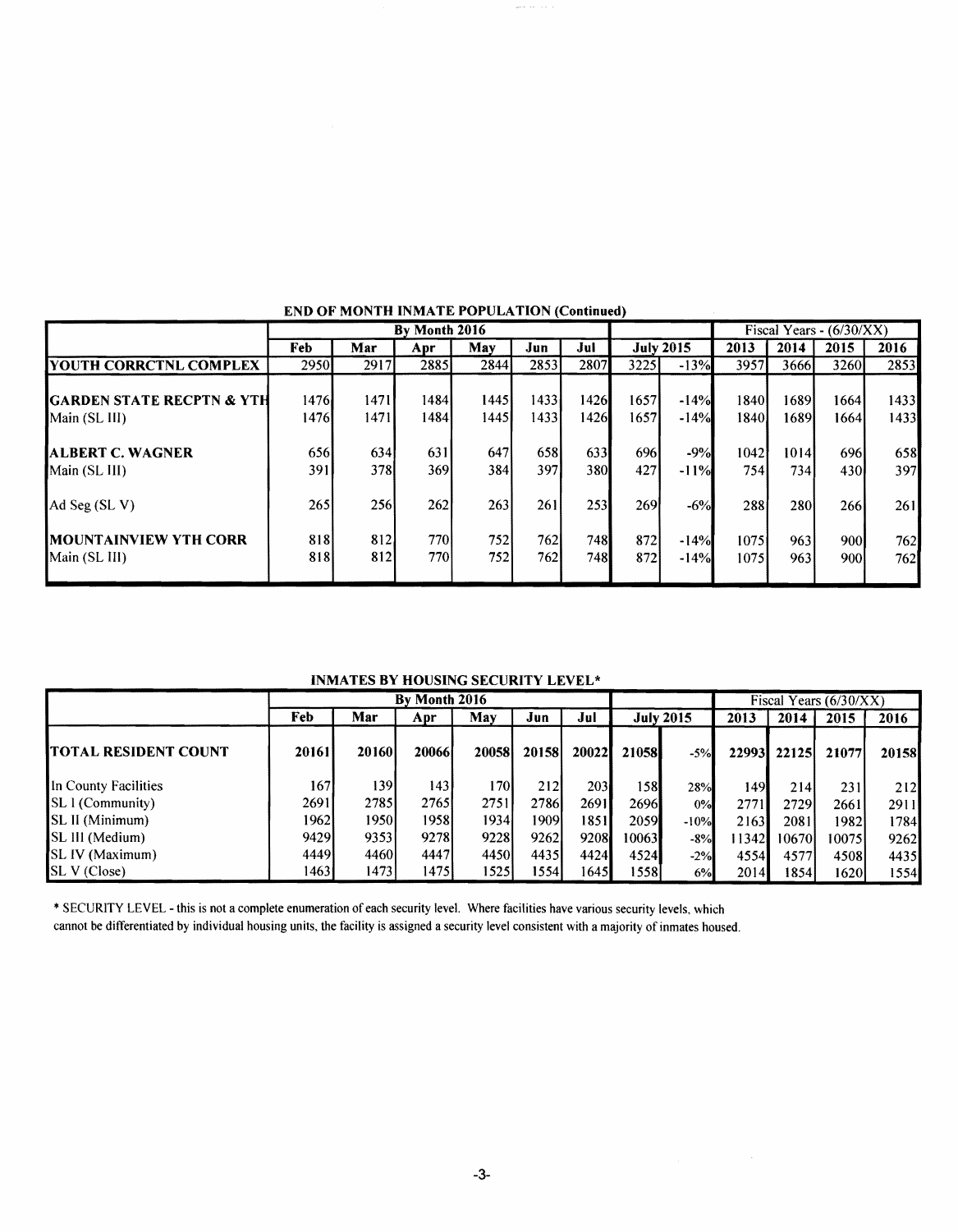|                                                        | By Month 2016 |              |              |                 |               |              | Fiscal Years - $(6/30/XX)$ |                  |              |              |               |              |
|--------------------------------------------------------|---------------|--------------|--------------|-----------------|---------------|--------------|----------------------------|------------------|--------------|--------------|---------------|--------------|
|                                                        | Feb           | Mar          | Apr          | May             | Jun           | Jul          |                            | <b>July 2015</b> | 2013         | 2014         | 2015          | 2016         |
| <b>IYOUTH CORRCTNL COMPLEX</b>                         | 2950          | 2917         | <b>28851</b> | 2844            | 2853          | 2807         | 3225                       | $-13%$           | 3957         | 3666         | 3260          | 2853         |
| <b>IGARDEN STATE RECPTN &amp; YTH</b><br>Main (SL III) | 1476<br>14761 | 1471<br>1471 | 1484<br>1484 | 14451<br>1445 I | 1433<br>14331 | 1426<br>1426 | 1657<br>16571              | $-14%$<br>$-14%$ | 1840<br>1840 | 1689<br>1689 | 1664<br>16641 | 1433<br>1433 |
| <b>ALBERT C. WAGNER</b><br>Main (SL III)               | 656<br>391    | 634<br>378I  | 631<br>369I  | 647<br>384      | 658<br>397    | 633<br>380   | 6961<br>427                | $-9%$<br>$-11%$  | 1042<br>754  | 1014<br>734  | 696<br>430I   | 658<br>397   |
| Ad Seg $(SL V)$                                        | 265           | 256          | 262          | 263             | 261           | 253          | <b>269</b>                 | $-6%$            | 288          | 280          | 266           | 261          |
| <b>IMOUNTAINVIEW YTH CORR</b><br>Main (SL III)         | 818<br>818    | 812<br>812   | 770I<br>770I | 752<br>7521     | 762<br>762    | 748<br>748   | 872l<br>872                | $-14%$<br>$-14%$ | 1075<br>1075 | 963<br>963   | 900l<br>9001  | 762<br>7621  |

## END OF MONTH INMATE POPULATION (Continued)

INMATES BY HOUSING SECURITY LEVEL\*

|                             | By Month 2016 |               |               |       |       |       |              |                  | Fiscal Years (6/30/XX) |               |       |              |
|-----------------------------|---------------|---------------|---------------|-------|-------|-------|--------------|------------------|------------------------|---------------|-------|--------------|
|                             | Feb           | Mar           | Apr           | May   | Jun   | Jul   |              | <b>July 2015</b> | 2013                   | 2014          | 2015  | 2016         |
| <b>TOTAL RESIDENT COUNT</b> | 20161         | <b>201601</b> | <b>200661</b> | 20058 | 20158 | 20022 | <b>21058</b> | $-5%$            |                        | 229931 221251 | 21077 | <b>20158</b> |
| In County Facilities        | 1671          | 1391          | 1431          | 170I  | 212   | 203   | 158          | 28%              | 149                    | 214           | 231   | 212          |
| <b>SL</b> 1 (Community)     | 26911         | 2785          | 2765I         | 2751  | 2786  | 2691  | 2696         | 0%               | 2771                   | 2729          | 2661  | 2911         |
| <b>SL II</b> (Minimum)      | 19621         | 1950I         | 1958I         | 1934l | 1909  | 1851  | 2059         | $-10%$           | 2163                   | 2081          | 1982  | 1784         |
| <b>SL III (Medium)</b>      | 94291         | 93531         | 9278          | 9228  | 9262  | 9208  | 100631       | -8%              | 113421                 | 106701        | 10075 | 9262         |
| SL IV (Maximum)             | 44491         | 4460          | 44471         | 4450  | 4435  | 4424  | 4524         | $-2%$            | 4554                   | 45771         | 45081 | 4435         |
| <b>SL V</b> (Close)         | 1463          | 1473          | 14751         | 15251 | 15541 | 1645  | 1558         | 6%               | 2014                   | 1854          | 16201 | 1554         |

\* SECURITY LEVEL - this is not a complete enumeration of each security level. Where facilities have various security levels, which

cannot be differentiated by individual housing units, the facility is assigned a security level consistent with a majority of inmates housed.